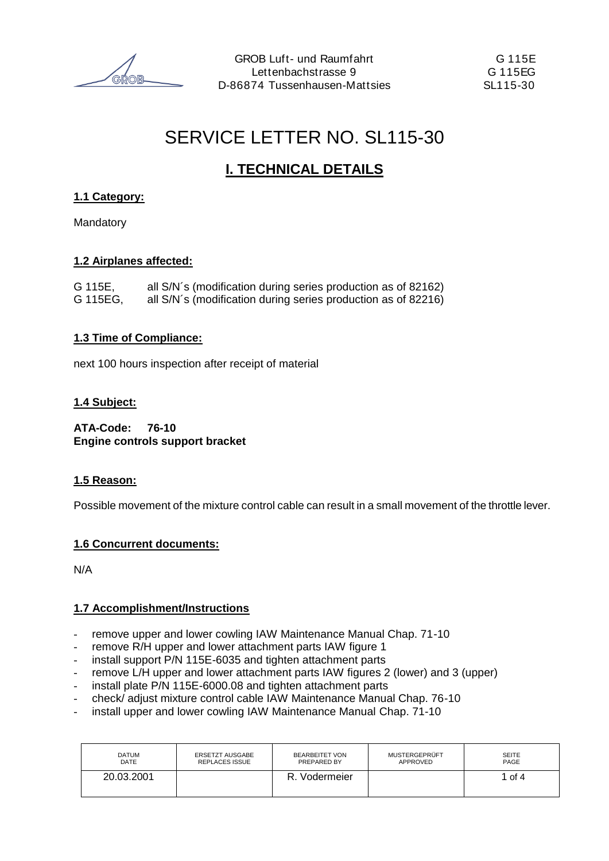# SERVICE LETTER NO. SL115-30

# **I. TECHNICAL DETAILS**

## **1.1 Category:**

Mandatory

## **1.2 Airplanes affected:**

| G 115E,  | all S/N's (modification during series production as of 82162) |
|----------|---------------------------------------------------------------|
| G 115EG, | all S/N's (modification during series production as of 82216) |

## **1.3 Time of Compliance:**

next 100 hours inspection after receipt of material

## **1.4 Subject:**

**ATA-Code: 76-10 Engine controls support bracket**

## **1.5 Reason:**

Possible movement of the mixture control cable can result in a small movement of the throttle lever.

## **1.6 Concurrent documents:**

N/A

## **1.7 Accomplishment/Instructions**

- remove upper and lower cowling IAW Maintenance Manual Chap. 71-10
- remove R/H upper and lower attachment parts IAW figure 1
- install support P/N 115E-6035 and tighten attachment parts
- remove L/H upper and lower attachment parts IAW figures 2 (lower) and 3 (upper)
- install plate P/N 115E-6000.08 and tighten attachment parts
- check/ adjust mixture control cable IAW Maintenance Manual Chap. 76-10
- install upper and lower cowling IAW Maintenance Manual Chap. 71-10

| <b>DATUM</b> | <b>ERSETZT AUSGABE</b> | <b>BEARBEITET VON</b> | MUSTERGEPRÜFT | <b>SEITE</b> |
|--------------|------------------------|-----------------------|---------------|--------------|
| DATE         | <b>REPLACES ISSUE</b>  | PREPARED BY           | APPROVED      | PAGE         |
| 20.03.2001   |                        | . Vodermeier<br>R.    |               | of 4         |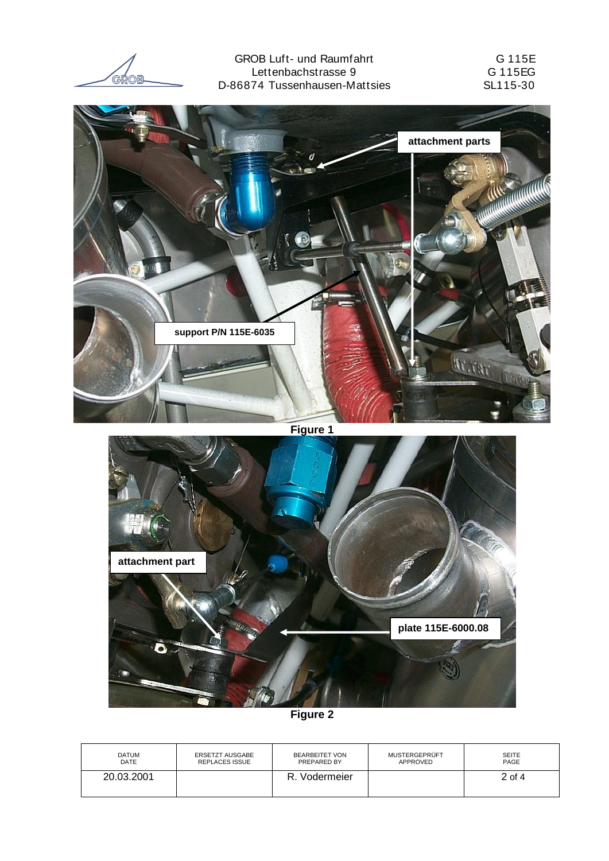GROB

Õ

GROB Luft- und Raumfahrt G 115E Lettenbachstrasse 9 G 115EG D-86874 Tussenhausen-Mattsies



**plate 115E-6000.08**

**Figure 2**

| DATUM       | ERSETZT AUSGABE       | <b>BEARBEITET VON</b> | MUSTERGEPRÜFT | <b>SEITE</b> |
|-------------|-----------------------|-----------------------|---------------|--------------|
| <b>DATE</b> | <b>REPLACES ISSUE</b> | PREPARED BY           | APPROVED      | PAGE         |
| 20.03.2001  |                       | Vodermeier            |               | $2$ of 4     |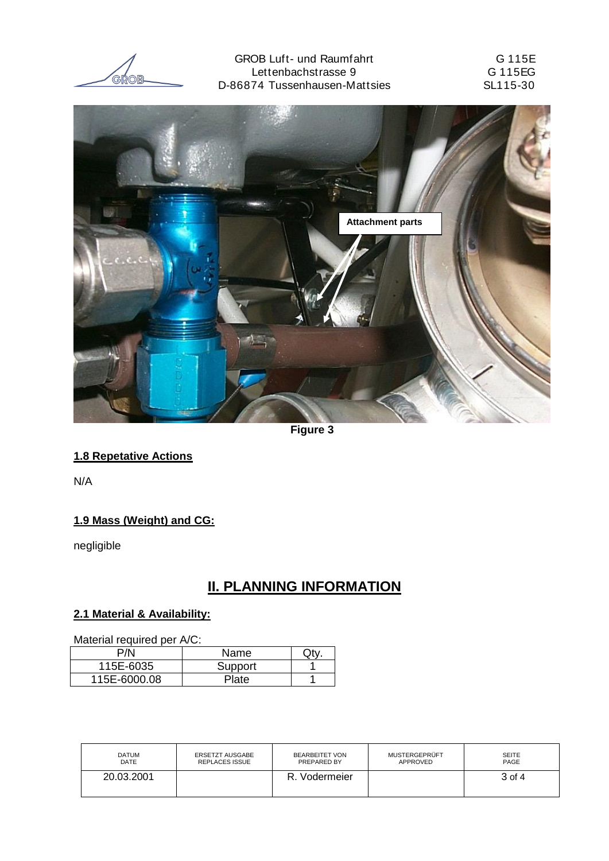GROB

GROB Luft- und Raumfahrt GROB Luft- und Raumfahrt G 115E G Lettenbachstrasse 9<br>
74 Tussenhausen-Mattsies<br>
74 Tussenhausen-Mattsies<br>
GL115-30 D-86874 Tussenhausen-Mattsies



**Figure 3**

## **1.8 Repetative Actions**

N/A

## **1.9 Mass (Weight) and CG:**

negligible

## **II. PLANNING INFORMATION**

## **2.1 Material & Availability:**

Material required per  $\Delta/\Gamma$ :

| Material regulied per A/C. |             |  |  |  |
|----------------------------|-------------|--|--|--|
| P/N                        | <b>Name</b> |  |  |  |
| 115E-6035                  | Support     |  |  |  |
| 115E-6000.08               | Plate       |  |  |  |

| <b>DATUM</b> | <b>ERSETZT AUSGABE</b> | BEARBEITET VON | <b>MUSTERGEPRÜFT</b> | <b>SEITE</b> |
|--------------|------------------------|----------------|----------------------|--------------|
| DATE         | <b>REPLACES ISSUE</b>  | PREPARED BY    | APPROVED             | PAGE         |
| 20.03.2001   |                        | Vodermeier     |                      | 3 of 4       |